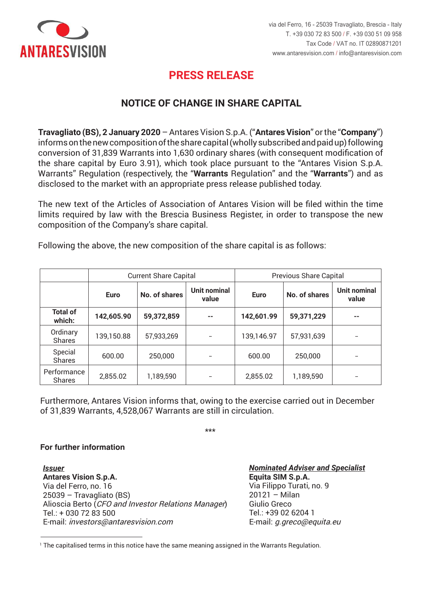

## **PRESS RELEASE PRESS RELEASE**

## **NOTICE OF CHANGE IN SHARE CAPITAL**

Travagliato (BS), 2 January 2020 - Antares Vision S.p.A. ("Antares Vision" or the "Company") informs on the new composition of the share capital (wholly subscribed and paid up) following conversion of 31,839 Warrants into 1,630 ordinary shares (with consequent modification of the share capital by Euro 3.91), which took place pursuant to the "Antares Vision S.p.A. Warrants" Regulation (respectively, the "Warrants Regulation" and the "Warrants") and as disclosed to the market with an appropriate press release published today.

limits required by law with the Brescia Business Register, in order to transpose the new composition of the Company's share capital. capitale sociale della Società. The new text of the Articles of Association of Antares Vision will be filed within the time

Ad esito di quanto precede, la nuova composizione del capitale sociale risulta essere la Following the above, the new composition of the share capital is as follows:

|                           | <b>Current Share Capital</b> |               |                              | <b>Previous Share Capital</b> |               |                              |
|---------------------------|------------------------------|---------------|------------------------------|-------------------------------|---------------|------------------------------|
|                           | <b>Euro</b>                  | No. of shares | <b>Unit nominal</b><br>value | <b>Euro</b>                   | No. of shares | <b>Unit nominal</b><br>value |
| <b>Total of</b><br>which: | 142,605.90                   | 59,372,859    | --                           | 142,601.99                    | 59,371,229    | --                           |
| Ordinary<br><b>Shares</b> | 139,150.88                   | 57,933,269    | -                            | 139,146.97                    | 57,931,639    | $\overline{\phantom{a}}$     |
| Special<br><b>Shares</b>  | 600.00                       | 250,000       |                              | 600.00                        | 250,000       |                              |
| Performance<br>Shares     | 2,855.02                     | 1,189,590     | --                           | 2,855.02                      | 1,189,590     | --                           |

Furthermore, Antares Vision informs that, owing to the exercise carried out in December of 31,839 Warrants, 4,528,067 Warrants are still in circulation.

\*\*\* \*\*\*

## **Per maggiori informazioni For further information**

1

*Emittente Issuer* **Antares Vision S.p.A. Antares Vision S.p.A.**  Via del Ferro, no. 16 25039 – Travagliato (BS) 25039 – Travagliato (BS) Alioscia Berto (CFO and Investor Relations Manager) Tel.: + 030 72 83 500 Tel.: + 030 72 83 500 E-mail: *investors@antaresvision.com* E-mail: investors@antaresvision.com

*<u>Mominated Adviser and Specialist</u>* **Equita SIM S.p.A. Equita SIM S.p.A.**  Via Filippo Turati, no. 9  $20121 -$  Milan er) Giulio Greco  $T$ el.: +39 02 6204 1 E-mail: *g.greco@equita.eu* E-mail: g.greco@equita.eu

 $1$  The capitalised terms in this notice have the same meaning assigned in the Warrants Regulation.